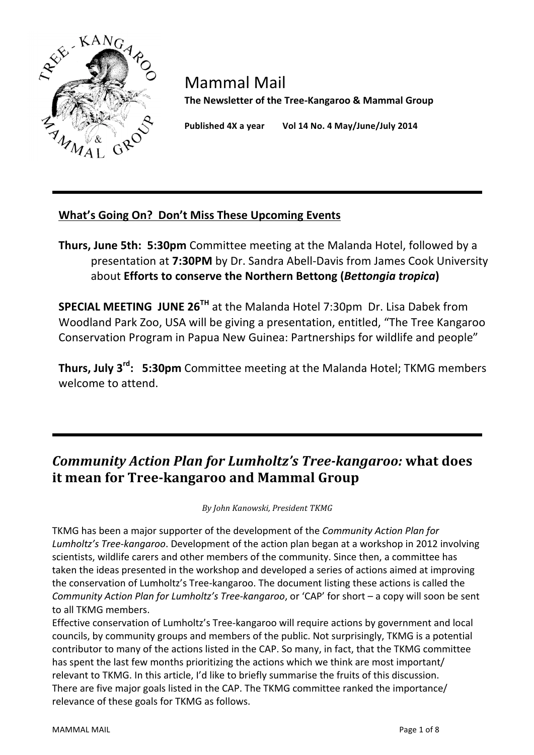

Mammal Mail The Newsletter of the Tree-Kangaroo & Mammal Group

Published 4X a year Vol 14 No. 4 May/June/July 2014

### What's Going On? Don't Miss These Upcoming Events

**Thurs, June 5th: 5:30pm** Committee meeting at the Malanda Hotel, followed by a presentation at **7:30PM** by Dr. Sandra Abell-Davis from James Cook University about **Efforts to conserve the Northern Bettong (***Bettongia tropica***)** 

**SPECIAL MEETING JUNE 26<sup>TH</sup> at the Malanda Hotel 7:30pm Dr. Lisa Dabek from** Woodland Park Zoo, USA will be giving a presentation, entitled, "The Tree Kangaroo Conservation Program in Papua New Guinea: Partnerships for wildlife and people"

**Thurs, July 3<sup>rd</sup>: 5:30pm** Committee meeting at the Malanda Hotel; TKMG members welcome to attend.

# *Community Action Plan for Lumholtz's Tree-kangaroo:* what does **it mean for Tree-kangaroo and Mammal Group**

*By#John#Kanowski,#President#TKMG*

TKMG has been a major supporter of the development of the *Community Action Plan for* Lumholtz's Tree-kangaroo. Development of the action plan began at a workshop in 2012 involving scientists, wildlife carers and other members of the community. Since then, a committee has taken the ideas presented in the workshop and developed a series of actions aimed at improving the conservation of Lumholtz's Tree-kangaroo. The document listing these actions is called the *Community Action Plan for Lumholtz's Tree-kangaroo,* or 'CAP' for short – a copy will soon be sent to all TKMG members.

Effective conservation of Lumholtz's Tree-kangaroo will require actions by government and local councils, by community groups and members of the public. Not surprisingly, TKMG is a potential contributor to many of the actions listed in the CAP. So many, in fact, that the TKMG committee has spent the last few months prioritizing the actions which we think are most important/ relevant to TKMG. In this article, I'd like to briefly summarise the fruits of this discussion. There are five major goals listed in the CAP. The TKMG committee ranked the importance/ relevance of these goals for TKMG as follows.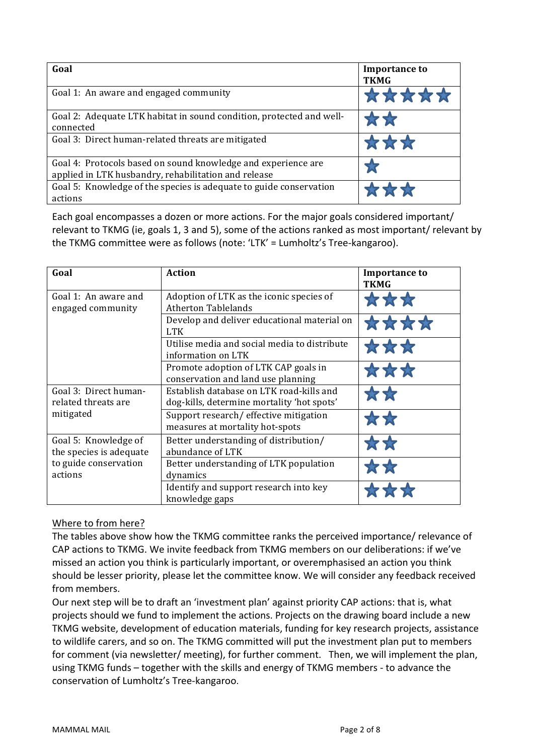| Goal                                                                                                                  | <b>Importance to</b><br><b>TKMG</b> |
|-----------------------------------------------------------------------------------------------------------------------|-------------------------------------|
| Goal 1: An aware and engaged community                                                                                | *****                               |
| Goal 2: Adequate LTK habitat in sound condition, protected and well-<br>connected                                     | <b>TAS</b>                          |
| Goal 3: Direct human-related threats are mitigated                                                                    | ***                                 |
| Goal 4: Protocols based on sound knowledge and experience are<br>applied in LTK husbandry, rehabilitation and release |                                     |
| Goal 5: Knowledge of the species is adequate to guide conservation<br>actions                                         | ****                                |

Each goal encompasses a dozen or more actions. For the major goals considered important/ relevant to TKMG (ie, goals 1, 3 and 5), some of the actions ranked as most important/ relevant by the TKMG committee were as follows (note: 'LTK' = Lumholtz's Tree-kangaroo).

| Goal                                                                                | <b>Action</b>                                                                          | <b>Importance to</b><br><b>TKMG</b> |
|-------------------------------------------------------------------------------------|----------------------------------------------------------------------------------------|-------------------------------------|
| Goal 1: An aware and<br>engaged community                                           | Adoption of LTK as the iconic species of<br><b>Atherton Tablelands</b>                 | 公众众                                 |
|                                                                                     | Develop and deliver educational material on<br><b>LTK</b>                              | ****                                |
|                                                                                     | Utilise media and social media to distribute<br>information on LTK                     | ***                                 |
|                                                                                     | Promote adoption of LTK CAP goals in<br>conservation and land use planning             | ***                                 |
| Goal 3: Direct human-<br>related threats are<br>mitigated                           | Establish database on LTK road-kills and<br>dog-kills, determine mortality 'hot spots' | 女女                                  |
|                                                                                     | Support research/ effective mitigation<br>measures at mortality hot-spots              | **                                  |
| Goal 5: Knowledge of<br>the species is adequate<br>to guide conservation<br>actions | Better understanding of distribution/<br>abundance of LTK                              | 女女                                  |
|                                                                                     | Better understanding of LTK population<br>dynamics                                     |                                     |
|                                                                                     | Identify and support research into key<br>knowledge gaps                               |                                     |

#### Where to from here?

The tables above show how the TKMG committee ranks the perceived importance/relevance of CAP actions to TKMG. We invite feedback from TKMG members on our deliberations: if we've missed an action you think is particularly important, or overemphasised an action you think should be lesser priority, please let the committee know. We will consider any feedback received from members.

Our next step will be to draft an 'investment plan' against priority CAP actions: that is, what projects should we fund to implement the actions. Projects on the drawing board include a new TKMG website, development of education materials, funding for key research projects, assistance to wildlife carers, and so on. The TKMG committed will put the investment plan put to members for comment (via newsletter/ meeting), for further comment. Then, we will implement the plan, using TKMG funds - together with the skills and energy of TKMG members - to advance the conservation of Lumholtz's Tree-kangaroo.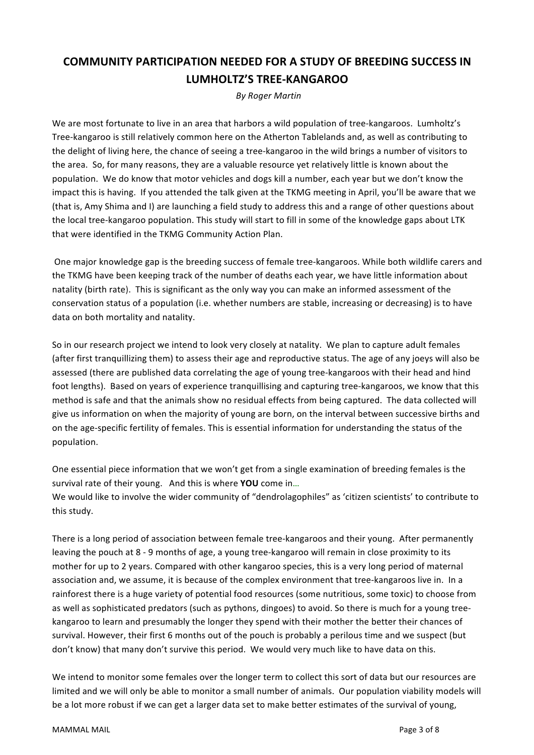## **COMMUNITY PARTICIPATION NEEDED FOR A STUDY OF BREEDING SUCCESS IN LUMHOLTZ'S TREE-KANGAROO**

**By Roger Martin** 

We are most fortunate to live in an area that harbors a wild population of tree-kangaroos. Lumholtz's Tree-kangaroo is still relatively common here on the Atherton Tablelands and, as well as contributing to the delight of living here, the chance of seeing a tree-kangaroo in the wild brings a number of visitors to the area. So, for many reasons, they are a valuable resource yet relatively little is known about the population. We do know that motor vehicles and dogs kill a number, each year but we don't know the impact this is having. If you attended the talk given at the TKMG meeting in April, you'll be aware that we (that is, Amy Shima and I) are launching a field study to address this and a range of other questions about the local tree-kangaroo population. This study will start to fill in some of the knowledge gaps about LTK that were identified in the TKMG Community Action Plan.

One major knowledge gap is the breeding success of female tree-kangaroos. While both wildlife carers and the TKMG have been keeping track of the number of deaths each year, we have little information about natality (birth rate). This is significant as the only way you can make an informed assessment of the conservation status of a population (i.e. whether numbers are stable, increasing or decreasing) is to have data on both mortality and natality.

So in our research project we intend to look very closely at natality. We plan to capture adult females (after first tranguillizing them) to assess their age and reproductive status. The age of any joevs will also be assessed (there are published data correlating the age of young tree-kangaroos with their head and hind foot lengths). Based on years of experience tranguillising and capturing tree-kangaroos, we know that this method is safe and that the animals show no residual effects from being captured. The data collected will give us information on when the majority of young are born, on the interval between successive births and on the age-specific fertility of females. This is essential information for understanding the status of the population.

One essential piece information that we won't get from a single examination of breeding females is the survival rate of their young. And this is where YOU come in... We would like to involve the wider community of "dendrolagophiles" as 'citizen scientists' to contribute to this study.

There is a long period of association between female tree-kangaroos and their young. After permanently leaving the pouch at 8 - 9 months of age, a young tree-kangaroo will remain in close proximity to its mother for up to 2 years. Compared with other kangaroo species, this is a very long period of maternal association and, we assume, it is because of the complex environment that tree-kangaroos live in. In a rainforest there is a huge variety of potential food resources (some nutritious, some toxic) to choose from as well as sophisticated predators (such as pythons, dingoes) to avoid. So there is much for a young treekangaroo to learn and presumably the longer they spend with their mother the better their chances of survival. However, their first 6 months out of the pouch is probably a perilous time and we suspect (but don't know) that many don't survive this period. We would very much like to have data on this.

We intend to monitor some females over the longer term to collect this sort of data but our resources are limited and we will only be able to monitor a small number of animals. Our population viability models will be a lot more robust if we can get a larger data set to make better estimates of the survival of young,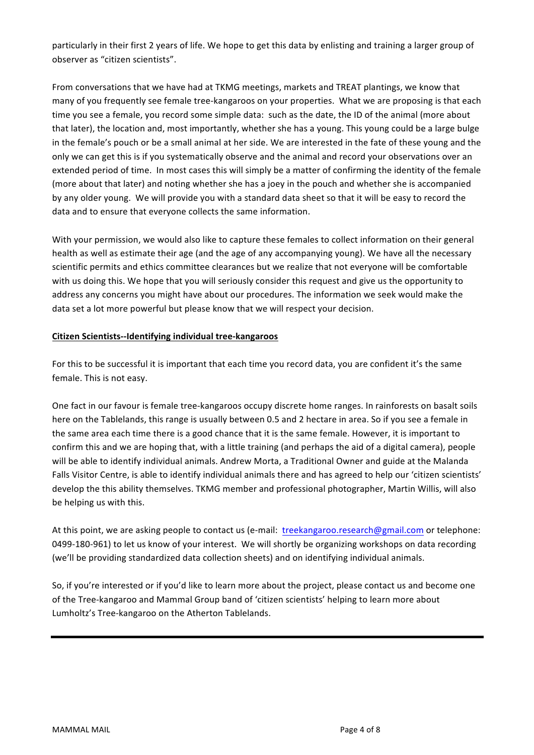particularly in their first 2 years of life. We hope to get this data by enlisting and training a larger group of observer as "citizen scientists".

From conversations that we have had at TKMG meetings, markets and TREAT plantings, we know that many of you frequently see female tree-kangaroos on your properties. What we are proposing is that each time you see a female, you record some simple data: such as the date, the ID of the animal (more about that later), the location and, most importantly, whether she has a young. This young could be a large bulge in the female's pouch or be a small animal at her side. We are interested in the fate of these young and the only we can get this is if you systematically observe and the animal and record your observations over an extended period of time. In most cases this will simply be a matter of confirming the identity of the female (more about that later) and noting whether she has a joey in the pouch and whether she is accompanied by any older young. We will provide you with a standard data sheet so that it will be easy to record the data and to ensure that everyone collects the same information.

With your permission, we would also like to capture these females to collect information on their general health as well as estimate their age (and the age of any accompanying young). We have all the necessary scientific permits and ethics committee clearances but we realize that not everyone will be comfortable with us doing this. We hope that you will seriously consider this request and give us the opportunity to address any concerns you might have about our procedures. The information we seek would make the data set a lot more powerful but please know that we will respect your decision.

#### Citizen Scientists--Identifying individual tree-kangaroos

For this to be successful it is important that each time you record data, you are confident it's the same female. This is not easy.

One fact in our favour is female tree-kangaroos occupy discrete home ranges. In rainforests on basalt soils here on the Tablelands, this range is usually between 0.5 and 2 hectare in area. So if you see a female in the same area each time there is a good chance that it is the same female. However, it is important to confirm this and we are hoping that, with a little training (and perhaps the aid of a digital camera), people will be able to identify individual animals. Andrew Morta, a Traditional Owner and guide at the Malanda Falls Visitor Centre, is able to identify individual animals there and has agreed to help our 'citizen scientists' develop the this ability themselves. TKMG member and professional photographer, Martin Willis, will also be helping us with this.

At this point, we are asking people to contact us (e-mail: treekangaroo.research@gmail.com or telephone: 0499-180-961) to let us know of your interest. We will shortly be organizing workshops on data recording (we'll be providing standardized data collection sheets) and on identifying individual animals.

So, if you're interested or if you'd like to learn more about the project, please contact us and become one of the Tree-kangaroo and Mammal Group band of 'citizen scientists' helping to learn more about Lumholtz's Tree-kangaroo on the Atherton Tablelands.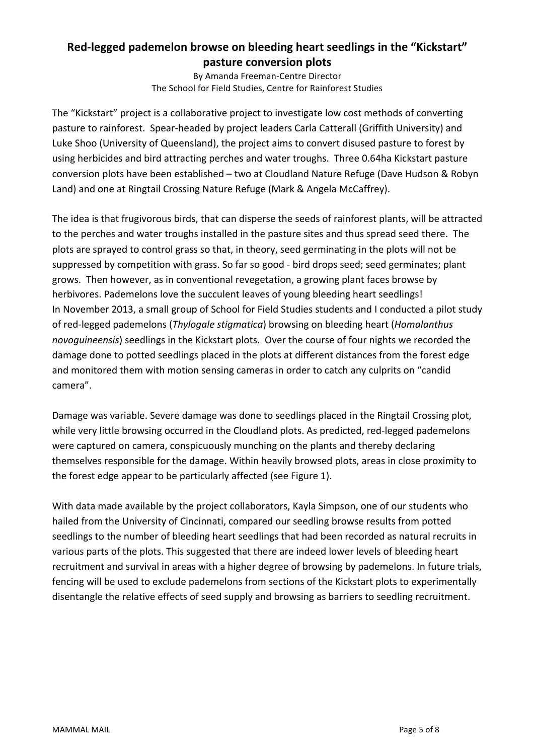### Red-legged pademelon browse on bleeding heart seedlings in the "Kickstart" **pasture'conversion'plots**

By Amanda Freeman-Centre Director The School for Field Studies, Centre for Rainforest Studies

The "Kickstart" project is a collaborative project to investigate low cost methods of converting pasture to rainforest. Spear-headed by project leaders Carla Catterall (Griffith University) and Luke Shoo (University of Queensland), the project aims to convert disused pasture to forest by using herbicides and bird attracting perches and water troughs. Three 0.64ha Kickstart pasture conversion plots have been established – two at Cloudland Nature Refuge (Dave Hudson & Robyn Land) and one at Ringtail Crossing Nature Refuge (Mark & Angela McCaffrey).

The idea is that frugivorous birds, that can disperse the seeds of rainforest plants, will be attracted to the perches and water troughs installed in the pasture sites and thus spread seed there. The plots are sprayed to control grass so that, in theory, seed germinating in the plots will not be suppressed by competition with grass. So far so good - bird drops seed; seed germinates; plant grows. Then however, as in conventional revegetation, a growing plant faces browse by herbivores. Pademelons love the succulent leaves of young bleeding heart seedlings! In November 2013, a small group of School for Field Studies students and I conducted a pilot study of red-legged pademelons (*Thylogale stigmatica*) browsing on bleeding heart (*Homalanthus*) novoguineensis) seedlings in the Kickstart plots. Over the course of four nights we recorded the damage done to potted seedlings placed in the plots at different distances from the forest edge and monitored them with motion sensing cameras in order to catch any culprits on "candid camera".

Damage was variable. Severe damage was done to seedlings placed in the Ringtail Crossing plot, while very little browsing occurred in the Cloudland plots. As predicted, red-legged pademelons were captured on camera, conspicuously munching on the plants and thereby declaring themselves responsible for the damage. Within heavily browsed plots, areas in close proximity to the forest edge appear to be particularly affected (see Figure 1).

With data made available by the project collaborators, Kayla Simpson, one of our students who hailed from the University of Cincinnati, compared our seedling browse results from potted seedlings to the number of bleeding heart seedlings that had been recorded as natural recruits in various parts of the plots. This suggested that there are indeed lower levels of bleeding heart recruitment and survival in areas with a higher degree of browsing by pademelons. In future trials, fencing will be used to exclude pademelons from sections of the Kickstart plots to experimentally disentangle the relative effects of seed supply and browsing as barriers to seedling recruitment.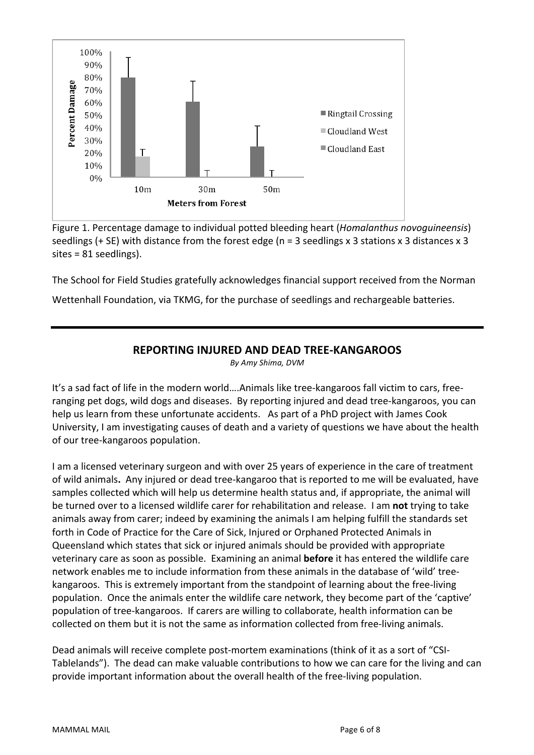

Figure 1. Percentage damage to individual potted bleeding heart (Homalanthus novoguineensis) seedlings (+ SE) with distance from the forest edge ( $n = 3$  seedlings x 3 stations x 3 distances x 3  $sites = 81 seedlings$ ).

The School for Field Studies gratefully acknowledges financial support received from the Norman

Wettenhall Foundation, via TKMG, for the purchase of seedlings and rechargeable batteries.

### **REPORTING INJURED AND DEAD TREE-KANGAROOS**

By Amy Shima, DVM

It's a sad fact of life in the modern world....Animals like tree-kangaroos fall victim to cars, freeranging pet dogs, wild dogs and diseases. By reporting injured and dead tree-kangaroos, you can help us learn from these unfortunate accidents. As part of a PhD project with James Cook University, I am investigating causes of death and a variety of questions we have about the health of our tree-kangaroos population.

I am a licensed veterinary surgeon and with over 25 years of experience in the care of treatment of wild animals. Any injured or dead tree-kangaroo that is reported to me will be evaluated, have samples collected which will help us determine health status and, if appropriate, the animal will be turned over to a licensed wildlife carer for rehabilitation and release. I am not trying to take animals away from carer; indeed by examining the animals I am helping fulfill the standards set forth in Code of Practice for the Care of Sick, Injured or Orphaned Protected Animals in Queensland which states that sick or injured animals should be provided with appropriate veterinary care as soon as possible. Examining an animal **before** it has entered the wildlife care network enables me to include information from these animals in the database of 'wild' treekangaroos. This is extremely important from the standpoint of learning about the free-living population. Once the animals enter the wildlife care network, they become part of the 'captive' population of tree-kangaroos. If carers are willing to collaborate, health information can be collected on them but it is not the same as information collected from free-living animals.

Dead animals will receive complete post-mortem examinations (think of it as a sort of "CSI-Tablelands"). The dead can make valuable contributions to how we can care for the living and can provide important information about the overall health of the free-living population.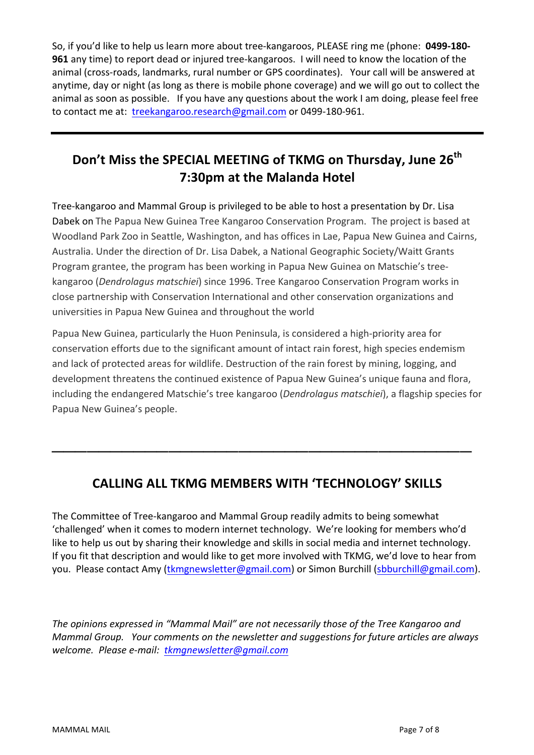So, if you'd like to help us learn more about tree-kangaroos, PLEASE ring me (phone: 0499-180-**961** any time) to report dead or injured tree-kangaroos. I will need to know the location of the animal (cross-roads, landmarks, rural number or GPS coordinates). Your call will be answered at anytime, day or night (as long as there is mobile phone coverage) and we will go out to collect the animal as soon as possible. If you have any questions about the work I am doing, please feel free to contact me at: treekangaroo.research@gmail.com or 0499-180-961.

# Don't Miss the SPECIAL MEETING of TKMG on Thursday, June 26<sup>th</sup> **7:30pm at the Malanda Hotel**

Tree-kangaroo and Mammal Group is privileged to be able to host a presentation by Dr. Lisa Dabek on The Papua New Guinea Tree Kangaroo Conservation Program. The project is based at Woodland Park Zoo in Seattle, Washington, and has offices in Lae, Papua New Guinea and Cairns, Australia. Under the direction of Dr. Lisa Dabek, a National Geographic Society/Waitt Grants Program grantee, the program has been working in Papua New Guinea on Matschie's treekangaroo (*Dendrolagus matschiei*) since 1996. Tree Kangaroo Conservation Program works in close partnership with Conservation International and other conservation organizations and universities in Papua New Guinea and throughout the world

Papua New Guinea, particularly the Huon Peninsula, is considered a high-priority area for conservation efforts due to the significant amount of intact rain forest, high species endemism and lack of protected areas for wildlife. Destruction of the rain forest by mining, logging, and development threatens the continued existence of Papua New Guinea's unique fauna and flora, including the endangered Matschie's tree kangaroo (*Dendrolagus matschiei*), a flagship species for Papua New Guinea's people.

## **CALLING'ALL'TKMG'MEMBERS'WITH''TECHNOLOGY''SKILLS**

 $\mathcal{L}_\text{max}$  and  $\mathcal{L}_\text{max}$  and  $\mathcal{L}_\text{max}$  are the set of  $\mathcal{L}_\text{max}$ 

The Committee of Tree-kangaroo and Mammal Group readily admits to being somewhat 'challenged' when it comes to modern internet technology. We're looking for members who'd like to help us out by sharing their knowledge and skills in social media and internet technology. If you fit that description and would like to get more involved with TKMG, we'd love to hear from you. Please contact Amy (tkmgnewsletter@gmail.com) or Simon Burchill (sbburchill@gmail.com).

The opinions expressed in "Mammal Mail" are not necessarily those of the Tree Kangaroo and *Mammal Group.* Your comments on the newsletter and suggestions for future articles are always welcome. Please e-mail: tkmgnewsletter@gmail.com